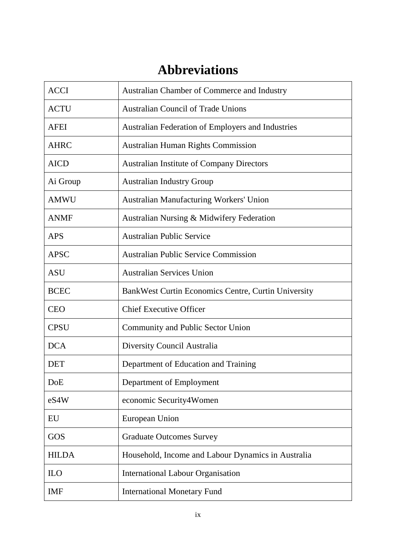## **Abbreviations**

| <b>ACCI</b>  | Australian Chamber of Commerce and Industry              |
|--------------|----------------------------------------------------------|
| <b>ACTU</b>  | <b>Australian Council of Trade Unions</b>                |
| <b>AFEI</b>  | <b>Australian Federation of Employers and Industries</b> |
| <b>AHRC</b>  | <b>Australian Human Rights Commission</b>                |
| <b>AICD</b>  | <b>Australian Institute of Company Directors</b>         |
| Ai Group     | <b>Australian Industry Group</b>                         |
| <b>AMWU</b>  | <b>Australian Manufacturing Workers' Union</b>           |
| <b>ANMF</b>  | Australian Nursing & Midwifery Federation                |
| <b>APS</b>   | <b>Australian Public Service</b>                         |
| <b>APSC</b>  | <b>Australian Public Service Commission</b>              |
| <b>ASU</b>   | <b>Australian Services Union</b>                         |
| <b>BCEC</b>  | Bank West Curtin Economics Centre, Curtin University     |
| <b>CEO</b>   | <b>Chief Executive Officer</b>                           |
| <b>CPSU</b>  | <b>Community and Public Sector Union</b>                 |
| <b>DCA</b>   | Diversity Council Australia                              |
| <b>DET</b>   | Department of Education and Training                     |
| DoE          | Department of Employment                                 |
| eS4W         | economic Security4Women                                  |
| EU           | European Union                                           |
| GOS          | <b>Graduate Outcomes Survey</b>                          |
| <b>HILDA</b> | Household, Income and Labour Dynamics in Australia       |
| <b>ILO</b>   | <b>International Labour Organisation</b>                 |
| <b>IMF</b>   | <b>International Monetary Fund</b>                       |